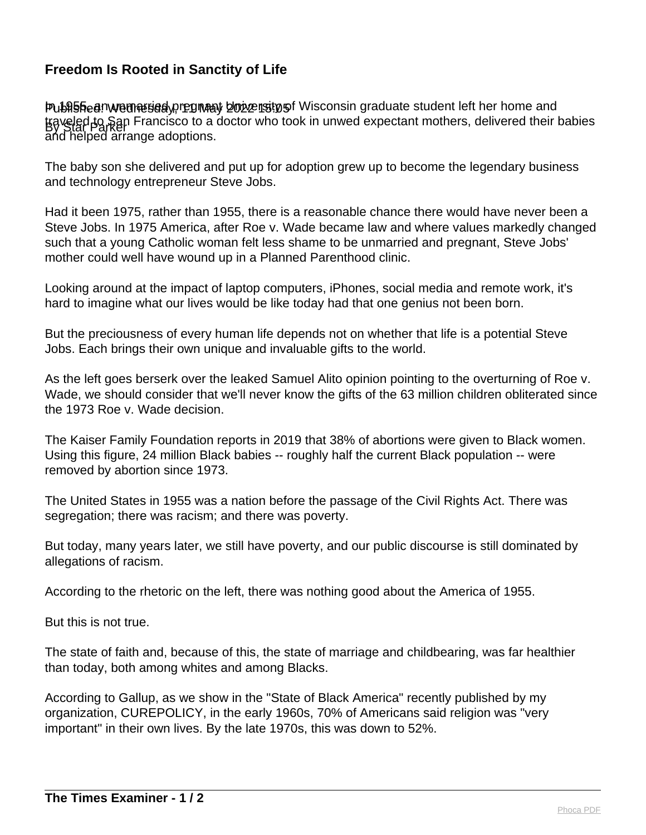## **Freedom Is Rooted in Sanctity of Life**

Publisheenwemesiedy, regnaay bozzensty of Wisconsin graduate student left her home and traveled to San Francisco to a doctor who took in unwed expectant mothers, delivered their babies and helped arrange adoptions.

The baby son she delivered and put up for adoption grew up to become the legendary business and technology entrepreneur Steve Jobs.

Had it been 1975, rather than 1955, there is a reasonable chance there would have never been a Steve Jobs. In 1975 America, after Roe v. Wade became law and where values markedly changed such that a young Catholic woman felt less shame to be unmarried and pregnant, Steve Jobs' mother could well have wound up in a Planned Parenthood clinic.

Looking around at the impact of laptop computers, iPhones, social media and remote work, it's hard to imagine what our lives would be like today had that one genius not been born.

But the preciousness of every human life depends not on whether that life is a potential Steve Jobs. Each brings their own unique and invaluable gifts to the world.

As the left goes berserk over the leaked Samuel Alito opinion pointing to the overturning of Roe v. Wade, we should consider that we'll never know the gifts of the 63 million children obliterated since the 1973 Roe v. Wade decision.

The Kaiser Family Foundation reports in 2019 that 38% of abortions were given to Black women. Using this figure, 24 million Black babies -- roughly half the current Black population -- were removed by abortion since 1973.

The United States in 1955 was a nation before the passage of the Civil Rights Act. There was segregation; there was racism; and there was poverty.

But today, many years later, we still have poverty, and our public discourse is still dominated by allegations of racism.

According to the rhetoric on the left, there was nothing good about the America of 1955.

But this is not true.

The state of faith and, because of this, the state of marriage and childbearing, was far healthier than today, both among whites and among Blacks.

According to Gallup, as we show in the "State of Black America" recently published by my organization, CUREPOLICY, in the early 1960s, 70% of Americans said religion was "very important" in their own lives. By the late 1970s, this was down to 52%.